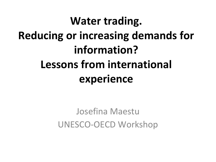### **Water trading. Reducing or increasing demands for information? Lessons from international experience**

Josefina Maestu UNESCO-OECD Workshop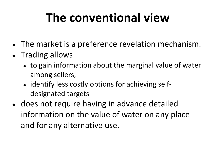# **The conventional view**

- The market is a preference revelation mechanism.
- Trading allows
	- to gain information about the marginal value of water among sellers,
	- identify less costly options for achieving selfdesignated targets
- does not require having in advance detailed information on the value of water on any place and for any alternative use.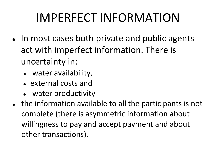# IMPERFECT INFORMATION

- In most cases both private and public agents act with imperfect information. There is uncertainty in:
	- water availability,
	- external costs and
	- water productivity
- the information available to all the participants is not complete (there is asymmetric information about willingness to pay and accept payment and about other transactions).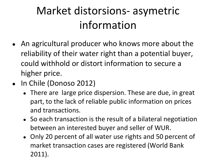#### Market distorsions- asymetric information

- An agricultural producer who knows more about the reliability of their water right than a potential buyer, could withhold or distort information to secure a higher price.
- In Chile (Donoso 2012)
	- There are large price dispersion. These are due, in great part, to the lack of reliable public information on prices and transactions.
	- So each transaction is the result of a bilateral negotiation between an interested buyer and seller of WUR.
	- Only 20 percent of all water use rights and 50 percent of market transaction cases are registered (World Bank 2011).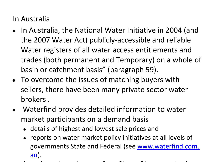In Australia

- In Australia, the National Water Initiative in 2004 (and the 2007 Water Act) publicly-accessible and reliable Water registers of all water access entitlements and trades (both permanent and Temporary) on a whole of basin or catchment basis" (paragraph 59).
- To overcome the issues of matching buyers with sellers, there have been many private sector water brokers .
- Waterfind provides detailed information to water market participants on a demand basis
	- details of highest and lowest sale prices and
	- reports on water market policy initiatives at all levels of governments State and Federal (see [www.waterfind.com.](http://www.waterfind.com.au/) [au](http://www.waterfind.com.au/)).
- $\bullet$  there have been issues of conflicts of interests in the interests interests in the interests in the interests in the interests in the interests in the interests in the interests in the interests in the interests in t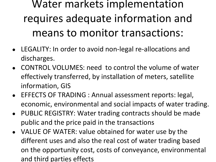Water markets implementation requires adequate information and means to monitor transactions:

- LEGALITY: In order to avoid non-legal re-allocations and discharges.
- CONTROL VOLUMES: need to control the volume of water effectively transferred, by installation of meters, satellite information, GIS
- EFFECTS OF TRADING : Annual assessment reports: legal, economic, environmental and social impacts of water trading.
- PUBLIC REGISTRY: Water trading contracts should be made public and the price paid in the transactions
- VALUE OF WATER: value obtained for water use by the different uses and also the real cost of water trading based on the opportunity cost, costs of conveyance, environmental and third parties effects